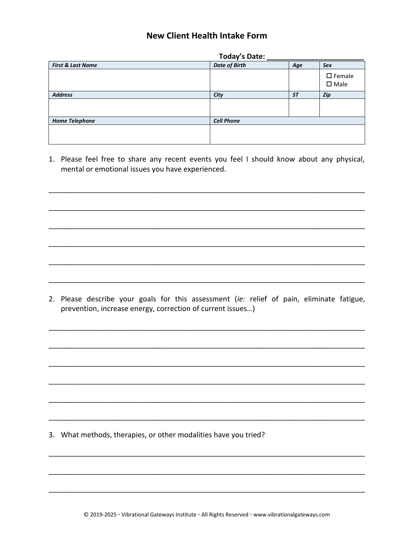## **New Client Health Intake Form**

|                              | Today's Date:        |           |                                    |  |  |  |  |
|------------------------------|----------------------|-----------|------------------------------------|--|--|--|--|
| <b>First &amp; Last Name</b> | <b>Date of Birth</b> | Age       | <b>Sex</b>                         |  |  |  |  |
|                              |                      |           | $\square$ Female<br>$\square$ Male |  |  |  |  |
| <b>Address</b>               | City                 | <b>ST</b> | Zip                                |  |  |  |  |
|                              |                      |           |                                    |  |  |  |  |
| <b>Home Telephone</b>        | <b>Cell Phone</b>    |           |                                    |  |  |  |  |
|                              |                      |           |                                    |  |  |  |  |

1. Please feel free to share any recent events you feel I should know about any physical, mental or emotional issues you have experienced.

2. Please describe your goals for this assessment (ie: relief of pain, eliminate fatigue, prevention, increase energy, correction of current issues...)

3. What methods, therapies, or other modalities have you tried?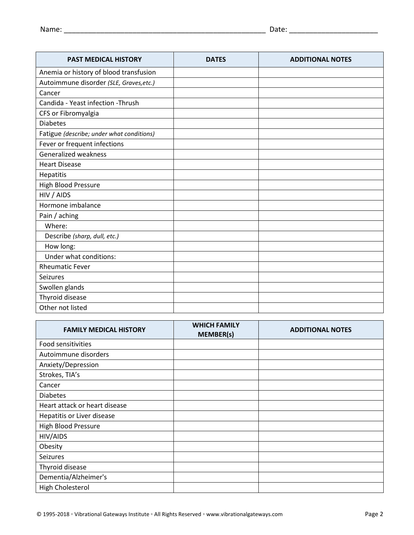| <b>PAST MEDICAL HISTORY</b>               | <b>DATES</b> | <b>ADDITIONAL NOTES</b> |
|-------------------------------------------|--------------|-------------------------|
| Anemia or history of blood transfusion    |              |                         |
| Autoimmune disorder (SLE, Graves, etc.)   |              |                         |
| Cancer                                    |              |                         |
| Candida - Yeast infection - Thrush        |              |                         |
| CFS or Fibromyalgia                       |              |                         |
| <b>Diabetes</b>                           |              |                         |
| Fatigue (describe; under what conditions) |              |                         |
| Fever or frequent infections              |              |                         |
| <b>Generalized weakness</b>               |              |                         |
| <b>Heart Disease</b>                      |              |                         |
| <b>Hepatitis</b>                          |              |                         |
| <b>High Blood Pressure</b>                |              |                         |
| HIV / AIDS                                |              |                         |
| Hormone imbalance                         |              |                         |
| Pain / aching                             |              |                         |
| Where:                                    |              |                         |
| Describe (sharp, dull, etc.)              |              |                         |
| How long:                                 |              |                         |
| Under what conditions:                    |              |                         |
| <b>Rheumatic Fever</b>                    |              |                         |
| <b>Seizures</b>                           |              |                         |
| Swollen glands                            |              |                         |
| Thyroid disease                           |              |                         |
| Other not listed                          |              |                         |

| <b>FAMILY MEDICAL HISTORY</b> | <b>WHICH FAMILY</b><br><b>MEMBER(s)</b> | <b>ADDITIONAL NOTES</b> |
|-------------------------------|-----------------------------------------|-------------------------|
| Food sensitivities            |                                         |                         |
| Autoimmune disorders          |                                         |                         |
| Anxiety/Depression            |                                         |                         |
| Strokes, TIA's                |                                         |                         |
| Cancer                        |                                         |                         |
| <b>Diabetes</b>               |                                         |                         |
| Heart attack or heart disease |                                         |                         |
| Hepatitis or Liver disease    |                                         |                         |
| <b>High Blood Pressure</b>    |                                         |                         |
| HIV/AIDS                      |                                         |                         |
| Obesity                       |                                         |                         |
| <b>Seizures</b>               |                                         |                         |
| Thyroid disease               |                                         |                         |
| Dementia/Alzheimer's          |                                         |                         |
| High Cholesterol              |                                         |                         |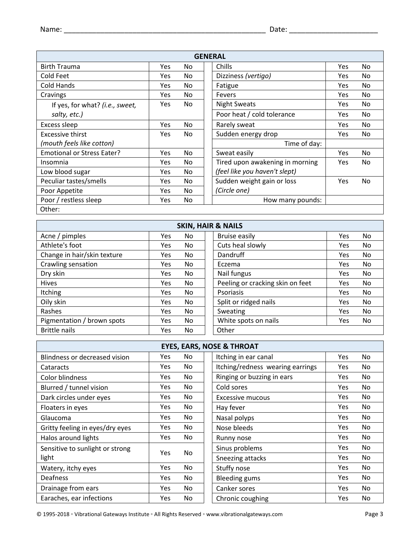| <b>GENERAL</b>                    |            |     |  |                                 |            |                |  |  |  |  |  |
|-----------------------------------|------------|-----|--|---------------------------------|------------|----------------|--|--|--|--|--|
| <b>Birth Trauma</b>               | Yes        | No. |  | Chills                          | Yes.       | N <sub>0</sub> |  |  |  |  |  |
| Cold Feet                         | Yes        | No. |  | Dizziness (vertigo)             | Yes.       | No.            |  |  |  |  |  |
| Cold Hands                        | <b>Yes</b> | No. |  | Fatigue                         | Yes        | No.            |  |  |  |  |  |
| Cravings                          | <b>Yes</b> | No. |  | Fevers                          | <b>Yes</b> | No.            |  |  |  |  |  |
| If yes, for what? (i.e., sweet,   | Yes        | No. |  | <b>Night Sweats</b>             | Yes.       | No.            |  |  |  |  |  |
| salty, etc.)                      |            |     |  | Poor heat / cold tolerance      | Yes.       | No.            |  |  |  |  |  |
| Excess sleep                      | <b>Yes</b> | No. |  | Rarely sweat                    | Yes        | No.            |  |  |  |  |  |
| Excessive thirst                  | <b>Yes</b> | No. |  | Sudden energy drop              | Yes.       | No.            |  |  |  |  |  |
| (mouth feels like cotton)         |            |     |  | Time of day:                    |            |                |  |  |  |  |  |
| <b>Emotional or Stress Eater?</b> | Yes        | No. |  | Sweat easily                    | Yes.       | <b>No</b>      |  |  |  |  |  |
| Insomnia                          | <b>Yes</b> | No. |  | Tired upon awakening in morning | Yes        | No.            |  |  |  |  |  |
| Low blood sugar                   | <b>Yes</b> | No. |  | (feel like you haven't slept)   |            |                |  |  |  |  |  |
| Peculiar tastes/smells            | Yes.       | No. |  | Sudden weight gain or loss      | Yes.       | N <sub>0</sub> |  |  |  |  |  |
| Poor Appetite                     | <b>Yes</b> | No. |  | (Circle one)                    |            |                |  |  |  |  |  |
| Poor / restless sleep             | <b>Yes</b> | No. |  | How many pounds:                |            |                |  |  |  |  |  |
| Other:                            |            |     |  |                                 |            |                |  |  |  |  |  |

| <b>SKIN, HAIR &amp; NAILS</b> |     |     |                                  |     |     |  |  |  |  |  |  |  |
|-------------------------------|-----|-----|----------------------------------|-----|-----|--|--|--|--|--|--|--|
| Acne / pimples                | Yes | No. | <b>Bruise easily</b>             | Yes | No. |  |  |  |  |  |  |  |
| Athlete's foot                | Yes | No. | Cuts heal slowly                 | Yes | No. |  |  |  |  |  |  |  |
| Change in hair/skin texture   | Yes | No. | Dandruff                         | Yes | No. |  |  |  |  |  |  |  |
| Crawling sensation            | Yes | No. | Eczema                           | Yes | No. |  |  |  |  |  |  |  |
| Dry skin                      | Yes | No. | Nail fungus                      | Yes | No. |  |  |  |  |  |  |  |
| <b>Hives</b>                  | Yes | No. | Peeling or cracking skin on feet | Yes | No. |  |  |  |  |  |  |  |
| Itching                       | Yes | No. | <b>Psoriasis</b>                 | Yes | No. |  |  |  |  |  |  |  |
| Oily skin                     | Yes | No. | Split or ridged nails            | Yes | No. |  |  |  |  |  |  |  |
| Rashes                        | Yes | No. | Sweating                         | Yes | No. |  |  |  |  |  |  |  |
| Pigmentation / brown spots    | Yes | No. | White spots on nails             | Yes | No. |  |  |  |  |  |  |  |
| <b>Brittle nails</b>          | Yes | No  | Other                            |     |     |  |  |  |  |  |  |  |

| <b>EYES, EARS, NOSE &amp; THROAT</b> |            |           |  |                                  |            |     |  |  |  |  |  |  |
|--------------------------------------|------------|-----------|--|----------------------------------|------------|-----|--|--|--|--|--|--|
| Blindness or decreased vision        | Yes.       | No.       |  | Itching in ear canal             | Yes        | No. |  |  |  |  |  |  |
| Cataracts                            | Yes.       | No.       |  | Itching/redness wearing earrings | <b>Yes</b> | No. |  |  |  |  |  |  |
| Color blindness                      | <b>Yes</b> | No.       |  | Ringing or buzzing in ears       | Yes.       | No. |  |  |  |  |  |  |
| Blurred / tunnel vision              | <b>Yes</b> | No.       |  | Cold sores                       | <b>Yes</b> | No. |  |  |  |  |  |  |
| Dark circles under eyes              | Yes.       | No.       |  | Excessive mucous                 | Yes.       | No. |  |  |  |  |  |  |
| Floaters in eyes                     | <b>Yes</b> | No.       |  | Hay fever                        | <b>Yes</b> | No. |  |  |  |  |  |  |
| Glaucoma                             | Yes.       | No.       |  | Nasal polyps                     | <b>Yes</b> | No. |  |  |  |  |  |  |
| Gritty feeling in eyes/dry eyes      | Yes.       | No.       |  | Nose bleeds                      | Yes.       | No  |  |  |  |  |  |  |
| Halos around lights                  | Yes.       | No.       |  | Runny nose                       | <b>Yes</b> | No. |  |  |  |  |  |  |
| Sensitive to sunlight or strong      | Yes.       | <b>No</b> |  | Sinus problems                   | Yes.       | No. |  |  |  |  |  |  |
| light                                |            |           |  | Sneezing attacks                 | <b>Yes</b> | No. |  |  |  |  |  |  |
| Watery, itchy eyes                   | Yes.       | No.       |  | Stuffy nose                      | Yes.       | No. |  |  |  |  |  |  |
| Deafness                             | <b>Yes</b> | No.       |  | <b>Bleeding gums</b>             | <b>Yes</b> | No. |  |  |  |  |  |  |
| Drainage from ears                   | <b>Yes</b> | No.       |  | Canker sores                     | Yes.       | No. |  |  |  |  |  |  |
| Earaches, ear infections             | Yes.       | No.       |  | Chronic coughing                 | Yes.       | No  |  |  |  |  |  |  |

© 1995-2018 ◦ Vibrational Gateways Institute ◦ All Rights Reserved ◦ www.vibrationalgateways.com Page 3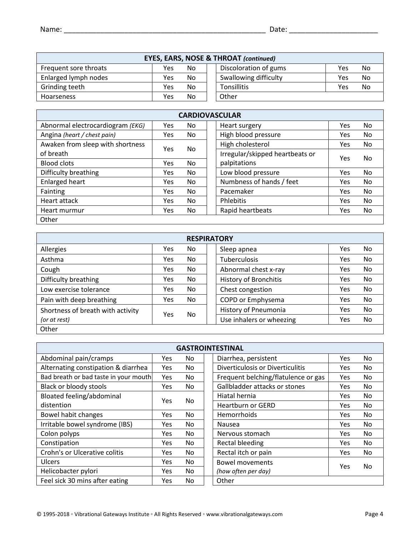| <b>EYES, EARS, NOSE &amp; THROAT (continued)</b> |     |     |  |                       |     |           |  |  |  |  |  |
|--------------------------------------------------|-----|-----|--|-----------------------|-----|-----------|--|--|--|--|--|
| Frequent sore throats                            | Yes | No. |  | Discoloration of gums | Yes | <b>No</b> |  |  |  |  |  |
| Enlarged lymph nodes                             | Yes | No. |  | Swallowing difficulty | Yes | <b>No</b> |  |  |  |  |  |
| Grinding teeth                                   | Yes | No. |  | Tonsillitis           | Yes | No        |  |  |  |  |  |
| <b>Hoarseness</b>                                | Yes | No. |  | Other                 |     |           |  |  |  |  |  |

| <b>CARDIOVASCULAR</b>            |            |     |  |                                 |     |     |  |  |  |  |  |
|----------------------------------|------------|-----|--|---------------------------------|-----|-----|--|--|--|--|--|
| Abnormal electrocardiogram (EKG) | <b>Yes</b> | No. |  | Heart surgery                   | Yes | No. |  |  |  |  |  |
| Angina (heart / chest pain)      | <b>Yes</b> | No. |  | High blood pressure             | Yes | No. |  |  |  |  |  |
| Awaken from sleep with shortness | <b>Yes</b> | No. |  | High cholesterol                | Yes | No. |  |  |  |  |  |
| of breath                        |            |     |  | Irregular/skipped heartbeats or | Yes | No. |  |  |  |  |  |
| <b>Blood clots</b>               | <b>Yes</b> | No. |  | palpitations                    |     |     |  |  |  |  |  |
| Difficulty breathing             | Yes        | No. |  | Low blood pressure              | Yes | No  |  |  |  |  |  |
| <b>Enlarged heart</b>            | <b>Yes</b> | No. |  | Numbness of hands / feet        | Yes | No. |  |  |  |  |  |
| Fainting                         | Yes        | No. |  | Pacemaker                       | Yes | No. |  |  |  |  |  |
| Heart attack                     | <b>Yes</b> | No. |  | Phlebitis                       | Yes | No. |  |  |  |  |  |
| Heart murmur                     | <b>Yes</b> | No. |  | Rapid heartbeats                | Yes | No  |  |  |  |  |  |
| Other                            |            |     |  |                                 |     |     |  |  |  |  |  |

| <b>RESPIRATORY</b>                |     |     |  |                              |     |     |  |  |  |  |
|-----------------------------------|-----|-----|--|------------------------------|-----|-----|--|--|--|--|
| Allergies                         | Yes | No. |  | Sleep apnea                  | Yes | No  |  |  |  |  |
| Asthma                            | Yes | No. |  | <b>Tuberculosis</b>          | Yes | No  |  |  |  |  |
| Cough                             | Yes | No. |  | Abnormal chest x-ray         | Yes | No  |  |  |  |  |
| Difficulty breathing              | Yes | No. |  | <b>History of Bronchitis</b> | Yes | No  |  |  |  |  |
| Low exercise tolerance            | Yes | No. |  | Chest congestion             | Yes | No  |  |  |  |  |
| Pain with deep breathing          | Yes | No. |  | COPD or Emphysema            | Yes | No. |  |  |  |  |
| Shortness of breath with activity |     |     |  | History of Pneumonia         | Yes | No  |  |  |  |  |
| (or at rest)                      | Yes | No. |  | Use inhalers or wheezing     | Yes | No. |  |  |  |  |
| Other                             |     |     |  |                              |     |     |  |  |  |  |

| <b>GASTROINTESTINAL</b>               |            |     |  |                                     |      |     |  |  |  |  |  |  |
|---------------------------------------|------------|-----|--|-------------------------------------|------|-----|--|--|--|--|--|--|
| Abdominal pain/cramps                 | Yes        | No  |  | Diarrhea, persistent                | Yes  | No  |  |  |  |  |  |  |
| Alternating constipation & diarrhea   | <b>Yes</b> | No. |  | Diverticulosis or Diverticulitis    | Yes  | No  |  |  |  |  |  |  |
| Bad breath or bad taste in your mouth | Yes        | No. |  | Frequent belching/flatulence or gas | Yes  | No  |  |  |  |  |  |  |
| Black or bloody stools                | Yes        | No. |  | Gallbladder attacks or stones       | Yes  | No  |  |  |  |  |  |  |
| <b>Bloated feeling/abdominal</b>      | <b>Yes</b> | No. |  | Hiatal hernia                       | Yes  | No  |  |  |  |  |  |  |
| distention                            |            |     |  | <b>Heartburn or GERD</b>            | Yes  | No. |  |  |  |  |  |  |
| Bowel habit changes                   | Yes        | No. |  | <b>Hemorrhoids</b>                  | Yes. | No  |  |  |  |  |  |  |
| Irritable bowel syndrome (IBS)        | Yes        | No. |  | <b>Nausea</b>                       | Yes  | No  |  |  |  |  |  |  |
| Colon polyps                          | Yes        | No. |  | Nervous stomach                     | Yes  | No  |  |  |  |  |  |  |
| Constipation                          | <b>Yes</b> | No. |  | <b>Rectal bleeding</b>              | Yes  | No  |  |  |  |  |  |  |
| Crohn's or Ulcerative colitis         | Yes        | No. |  | Rectal itch or pain                 | Yes  | No. |  |  |  |  |  |  |
| <b>Ulcers</b>                         | Yes        | No. |  | <b>Bowel movements</b>              | Yes  | No. |  |  |  |  |  |  |
| Helicobacter pylori                   | Yes        | No. |  | (how often per day)                 |      |     |  |  |  |  |  |  |
| Feel sick 30 mins after eating        | Yes        | No  |  | Other                               |      |     |  |  |  |  |  |  |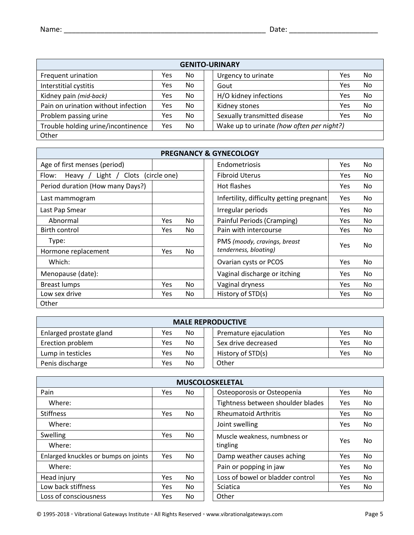| <b>GENITO-URINARY</b>               |     |     |  |                                           |     |     |  |  |  |  |  |
|-------------------------------------|-----|-----|--|-------------------------------------------|-----|-----|--|--|--|--|--|
| Frequent urination                  | Yes | No. |  | Urgency to urinate                        | Yes | No. |  |  |  |  |  |
| Interstitial cystitis               | Yes | No. |  | Gout                                      | Yes | No. |  |  |  |  |  |
| Kidney pain (mid-back)              | Yes | No. |  | H/O kidney infections                     | Yes | No. |  |  |  |  |  |
| Pain on urination without infection | Yes | No. |  | Kidney stones                             | Yes | No. |  |  |  |  |  |
| Problem passing urine               | Yes | No. |  | Sexually transmitted disease              | Yes | No. |  |  |  |  |  |
| Trouble holding urine/incontinence  | Yes | No. |  | Wake up to urinate (how often per night?) |     |     |  |  |  |  |  |
| Other                               |     |     |  |                                           |     |     |  |  |  |  |  |

| <b>PREGNANCY &amp; GYNECOLOGY</b>                   |            |     |  |                                          |            |     |  |  |  |  |  |
|-----------------------------------------------------|------------|-----|--|------------------------------------------|------------|-----|--|--|--|--|--|
| Age of first menses (period)                        |            |     |  | Endometriosis                            | Yes.       | No. |  |  |  |  |  |
| Clots (circle one)<br>Flow:<br>Light $/$<br>Heavy / |            |     |  | <b>Fibroid Uterus</b>                    | Yes.       | No  |  |  |  |  |  |
| Period duration (How many Days?)                    |            |     |  | Hot flashes                              | Yes.       | No. |  |  |  |  |  |
| Last mammogram                                      |            |     |  | Infertility, difficulty getting pregnant | <b>Yes</b> | No. |  |  |  |  |  |
| Last Pap Smear                                      |            |     |  | Irregular periods                        | Yes.       | No. |  |  |  |  |  |
| Abnormal                                            | <b>Yes</b> | No. |  | Painful Periods (Cramping)               | Yes        | No. |  |  |  |  |  |
| Birth control                                       | <b>Yes</b> | No. |  | Pain with intercourse                    | <b>Yes</b> | No. |  |  |  |  |  |
| Type:                                               |            |     |  | PMS (moody, cravings, breast             | Yes        | No. |  |  |  |  |  |
| Hormone replacement                                 | Yes        | No. |  | tenderness, bloating)                    |            |     |  |  |  |  |  |
| Which:                                              |            |     |  | Ovarian cysts or PCOS                    | <b>Yes</b> | No. |  |  |  |  |  |
| Menopause (date):                                   |            |     |  | Vaginal discharge or itching             | Yes        | No. |  |  |  |  |  |
| <b>Breast lumps</b>                                 | <b>Yes</b> | No. |  | Vaginal dryness                          | Yes.       | No. |  |  |  |  |  |
| Low sex drive                                       | <b>Yes</b> | No. |  | History of STD(s)                        | Yes        | No. |  |  |  |  |  |
| Other                                               |            |     |  |                                          |            |     |  |  |  |  |  |

| <b>MALE REPRODUCTIVE</b> |     |           |       |                       |     |    |
|--------------------------|-----|-----------|-------|-----------------------|-----|----|
| Enlarged prostate gland  | Yes | <b>No</b> |       | Premature ejaculation | Yes | No |
| Erection problem         | Yes | <b>No</b> |       | Sex drive decreased   | Yes | No |
| Lump in testicles        | Yes | <b>No</b> |       | History of STD(s)     | Yes | No |
| Penis discharge          | Yes | No        | Other |                       |     |    |

| <b>MUSCOLOSKELETAL</b>               |     |     |                                                |  |  |
|--------------------------------------|-----|-----|------------------------------------------------|--|--|
| Pain                                 | Yes | No. | Osteoporosis or Osteopenia<br>No<br>Yes        |  |  |
| Where:                               |     |     | Tightness between shoulder blades<br>Yes<br>No |  |  |
| <b>Stiffness</b>                     | Yes | No. | <b>Rheumatoid Arthritis</b><br>No<br>Yes       |  |  |
| Where:                               |     |     | Joint swelling<br>No.<br>Yes                   |  |  |
| Swelling                             | Yes | No. | Muscle weakness, numbness or                   |  |  |
| Where:                               |     |     | Yes<br>No.<br>tingling                         |  |  |
| Enlarged knuckles or bumps on joints | Yes | No. | Damp weather causes aching<br>No.<br>Yes       |  |  |
| Where:                               |     |     | Pain or popping in jaw<br>No.<br>Yes           |  |  |
| Head injury                          | Yes | No. | Loss of bowel or bladder control<br>Yes<br>No  |  |  |
| Low back stiffness                   | Yes | No. | Sciatica<br>No<br>Yes                          |  |  |
| Loss of consciousness                | Yes | No. | Other                                          |  |  |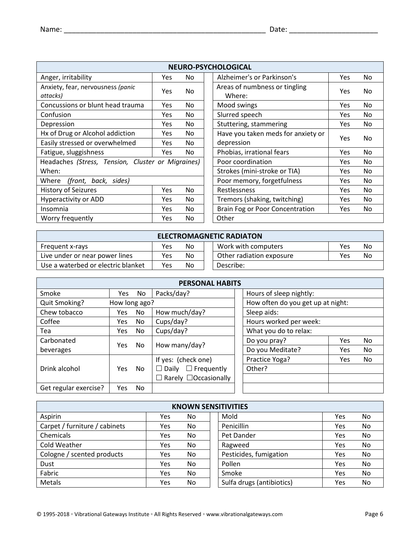| <b>NEURO-PSYCHOLOGICAL</b>                        |             |     |                                                       |  |
|---------------------------------------------------|-------------|-----|-------------------------------------------------------|--|
| Anger, irritability                               | Yes.        | No. | Alzheimer's or Parkinson's<br>No.<br>Yes              |  |
| Anxiety, fear, nervousness (panic<br>attacks)     | Yes         | No. | Areas of numbness or tingling<br>No.<br>Yes<br>Where: |  |
| Concussions or blunt head trauma                  | Yes         | No. | Mood swings<br>No.<br>Yes.                            |  |
| Confusion                                         | Yes.        | No. | Slurred speech<br>No.<br>Yes                          |  |
| Depression                                        | Yes         | No. | Stuttering, stammering<br>No.<br>Yes                  |  |
| Hx of Drug or Alcohol addiction                   | No.<br>Yes. |     | Have you taken meds for anxiety or<br>No.<br>Yes      |  |
| Easily stressed or overwhelmed                    | Yes         | No. | depression                                            |  |
| Fatigue, sluggishness                             | Yes.        | No. | Phobias, irrational fears<br>No.<br>Yes               |  |
| Headaches (Stress, Tension, Cluster or Migraines) |             |     | Poor coordination<br>No.<br>Yes.                      |  |
| When:                                             |             |     | Strokes (mini-stroke or TIA)<br>No.<br>Yes            |  |
| Where (front, back, sides)                        |             |     | Poor memory, forgetfulness<br>No.<br>Yes              |  |
| History of Seizures                               | Yes         | No. | Restlessness<br>No.<br>Yes                            |  |
| <b>Hyperactivity or ADD</b>                       | Yes.        | No. | Tremors (shaking, twitching)<br>No.<br>Yes            |  |
| Insomnia                                          | Yes         | No. | Brain Fog or Poor Concentration<br>No.<br><b>Yes</b>  |  |
| Worry frequently                                  | Yes.        | No. | Other                                                 |  |

| <b>ELECTROMAGNETIC RADIATON</b>    |     |     |  |                          |     |     |
|------------------------------------|-----|-----|--|--------------------------|-----|-----|
| <b>Frequent x-rays</b>             | Yes | No. |  | Work with computers      | Yes | No  |
| Live under or near power lines     | Yes | No. |  | Other radiation exposure | Yes | No. |
| Use a waterbed or electric blanket | Yes | No. |  | Describe:                |     |     |

| <b>PERSONAL HABITS</b> |               |     |                                   |                         |     |           |  |
|------------------------|---------------|-----|-----------------------------------|-------------------------|-----|-----------|--|
| Smoke                  | <b>Yes</b>    | No. | Packs/day?                        | Hours of sleep nightly: |     |           |  |
| Quit Smoking?          | How long ago? |     | How often do you get up at night: |                         |     |           |  |
| Chew tobacco           | Yes.          | No. | How much/day?                     | Sleep aids:             |     |           |  |
| Coffee                 | Yes           | No. | Cups/day?                         | Hours worked per week:  |     |           |  |
| Tea                    | Yes           | No. | Cups/day?                         | What you do to relax:   |     |           |  |
| Carbonated             | Yes.          | No. | How many/day?                     | Do you pray?            | Yes | No        |  |
| beverages              |               |     |                                   | Do you Meditate?        | Yes | <b>No</b> |  |
|                        |               |     | If yes: (check one)               | Practice Yoga?          | Yes | <b>No</b> |  |
| Drink alcohol          | <b>Yes</b>    | No. | $\Box$ Frequently<br>$\Box$ Daily | Other?                  |     |           |  |
|                        |               |     | Rarely □Occasionally<br>$\Box$    |                         |     |           |  |
| Get regular exercise?  | Yes           | No. |                                   |                         |     |           |  |

| <b>KNOWN SENSITIVITIES</b>    |     |     |                           |     |     |
|-------------------------------|-----|-----|---------------------------|-----|-----|
| Aspirin                       | Yes | No. | Mold                      | Yes | No. |
| Carpet / furniture / cabinets | Yes | No. | Penicillin                | Yes | No  |
| Chemicals                     | Yes | No  | Pet Dander                | Yes | No  |
| Cold Weather                  | Yes | No. | Ragweed                   | Yes | No. |
| Cologne / scented products    | Yes | No. | Pesticides, fumigation    | Yes | No  |
| Dust                          | Yes | No. | Pollen                    | Yes | No. |
| Fabric                        | Yes | No. | Smoke                     | Yes | No  |
| Metals                        | Yes | No. | Sulfa drugs (antibiotics) | Yes | No  |